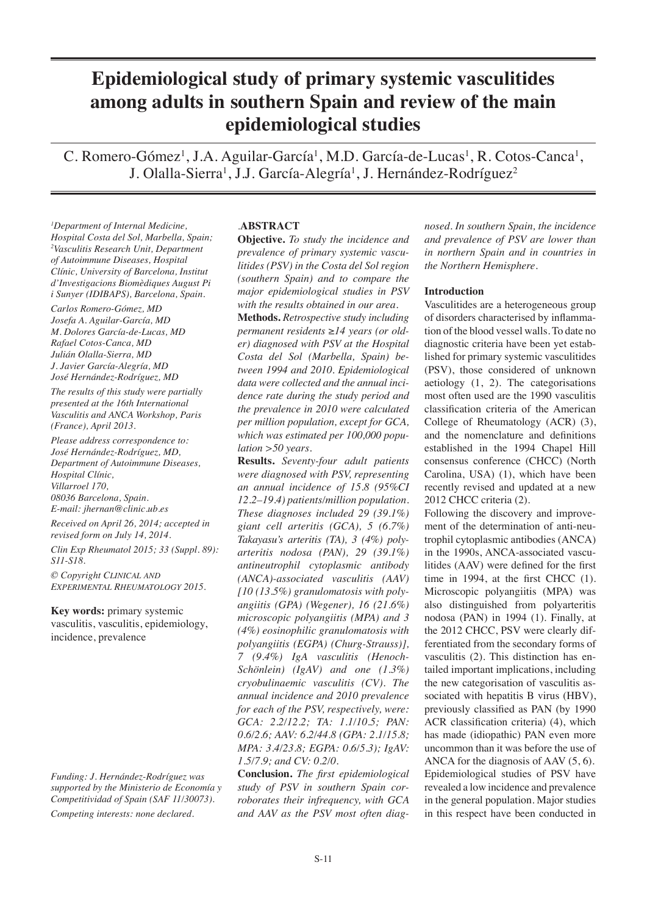# **Epidemiological study of primary systemic vasculitides among adults in southern Spain and review of the main epidemiological studies**

C. Romero-Gómez<sup>1</sup>, J.A. Aguilar-García<sup>1</sup>, M.D. García-de-Lucas<sup>1</sup>, R. Cotos-Canca<sup>1</sup>, J. Olalla-Sierra<sup>1</sup>, J.J. García-Alegría<sup>1</sup>, J. Hernández-Rodríguez<sup>2</sup>

*1 Department of Internal Medicine, Hospital Costa del Sol, Marbella, Spain; 2 Vasculitis Research Unit, Department of Autoimmune Diseases, Hospital Clínic, University of Barcelona, Institut d'Investigacions Biomèdiques August Pi i Sunyer (IDIBAPS), Barcelona, Spain.*

*Carlos Romero-Gómez, MD Josefa A. Aguilar-García, MD M. Dolores García-de-Lucas, MD Rafael Cotos-Canca, MD Julián Olalla-Sierra, MD J. Javier García-Alegría, MD José Hernández-Rodríguez, MD*

*The results of this study were partially presented at the 16th International Vasculitis and ANCA Workshop, Paris (France), April 2013.*

*Please address correspondence to: José Hernández-Rodríguez, MD, Department of Autoimmune Diseases, Hospital Clínic, Villarroel 170, 08036 Barcelona, Spain. E-mail: jhernan@clinic.ub.es*

*Received on April 26, 2014; accepted in revised form on July 14, 2014.*

*Clin Exp Rheumatol 2015; 33 (Suppl. 89): S11-S18.*

*© Copyright Clinical and Experimental Rheumatology 2015.*

**Key words:** primary systemic vasculitis, vasculitis, epidemiology, incidence, prevalence

*Funding: J. Hernández-Rodríguez was supported by the Ministerio de Economía y Competitividad of Spain (SAF 11/30073). Competing interests: none declared.*

# *.***ABSTRACT**

**Objective.** *To study the incidence and prevalence of primary systemic vasculitides (PSV) in the Costa del Sol region (southern Spain) and to compare the major epidemiological studies in PSV with the results obtained in our area.*

**Methods.** *Retrospective study including permanent residents* ≥*14 years (or older) diagnosed with PSV at the Hospital Costa del Sol (Marbella, Spain) between 1994 and 2010. Epidemiological data were collected and the annual incidence rate during the study period and the prevalence in 2010 were calculated per million population, except for GCA, which was estimated per 100,000 population >50 years.*

**Results.** *Seventy-four adult patients were diagnosed with PSV, representing an annual incidence of 15.8 (95%CI 12.2–19.4) patients/million population. These diagnoses included 29 (39.1%) giant cell arteritis (GCA), 5 (6.7%) Takayasu's arteritis (TA), 3 (4%) polyarteritis nodosa (PAN), 29 (39.1%) antineutrophil cytoplasmic antibody (ANCA)-associated vasculitis (AAV) [10 (13.5%) granulomatosis with polyangiitis (GPA) (Wegener), 16 (21.6%) microscopic polyangiitis (MPA) and 3 (4%) eosinophilic granulomatosis with polyangiitis (EGPA) (Churg-Strauss)], 7 (9.4%) IgA vasculitis (Henoch-Schönlein) (IgAV) and one (1.3%) cryobulinaemic vasculitis (CV). The annual incidence and 2010 prevalence for each of the PSV, respectively, were: GCA: 2.2/12.2; TA: 1.1/10.5; PAN: 0.6/2.6; AAV: 6.2/44.8 (GPA: 2.1/15.8; MPA: 3.4/23.8; EGPA: 0.6/5.3); IgAV: 1.5/7.9; and CV: 0.2/0.*

**Conclusion.** *The first epidemiological study of PSV in southern Spain corroborates their infrequency, with GCA and AAV as the PSV most often diag-*

*nosed. In southern Spain, the incidence and prevalence of PSV are lower than in northern Spain and in countries in the Northern Hemisphere.* 

# **Introduction**

Vasculitides are a heterogeneous group of disorders characterised by inflammation of the blood vessel walls. To date no diagnostic criteria have been yet established for primary systemic vasculitides (PSV), those considered of unknown aetiology (1, 2). The categorisations most often used are the 1990 vasculitis classification criteria of the American College of Rheumatology (ACR) (3), and the nomenclature and definitions established in the 1994 Chapel Hill consensus conference (CHCC) (North Carolina, USA) (1), which have been recently revised and updated at a new 2012 CHCC criteria (2).

Following the discovery and improvement of the determination of anti-neutrophil cytoplasmic antibodies (ANCA) in the 1990s, ANCA-associated vasculitides (AAV) were defined for the first time in 1994, at the first CHCC (1). Microscopic polyangiitis (MPA) was also distinguished from polyarteritis nodosa (PAN) in 1994 (1). Finally, at the 2012 CHCC, PSV were clearly differentiated from the secondary forms of vasculitis (2). This distinction has entailed important implications, including the new categorisation of vasculitis associated with hepatitis B virus (HBV), previously classified as PAN (by 1990 ACR classification criteria) (4), which has made (idiopathic) PAN even more uncommon than it was before the use of ANCA for the diagnosis of AAV (5, 6). Epidemiological studies of PSV have revealed a low incidence and prevalence in the general population. Major studies in this respect have been conducted in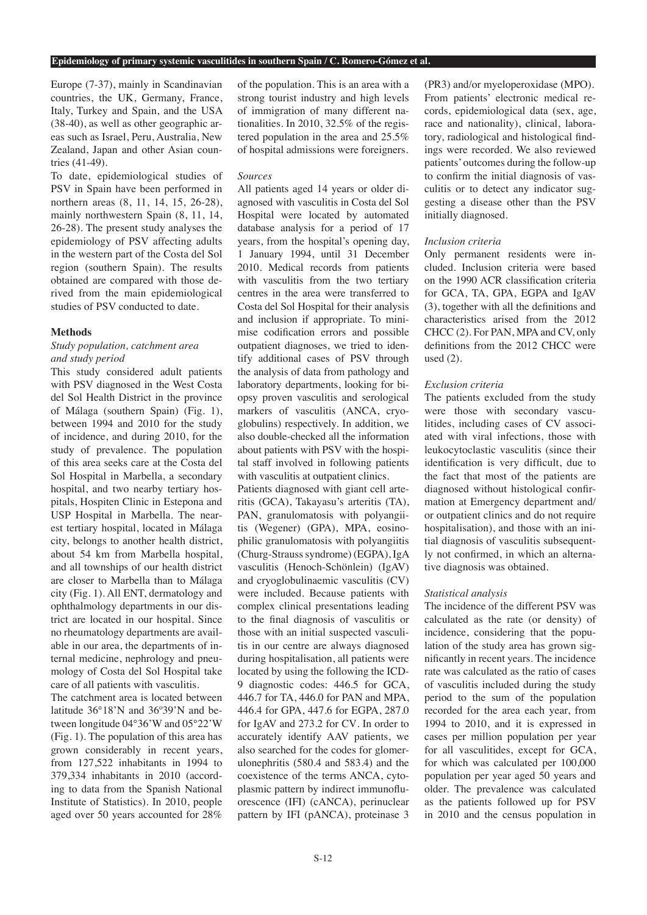#### **Epidemiology of primary systemic vasculitides in southern Spain / C. Romero-Gómez et al.**

Europe (7-37), mainly in Scandinavian countries, the UK, Germany, France, Italy, Turkey and Spain, and the USA (38-40), as well as other geographic areas such as Israel, Peru, Australia, New Zealand, Japan and other Asian countries (41-49).

To date, epidemiological studies of PSV in Spain have been performed in northern areas (8, 11, 14, 15, 26-28), mainly northwestern Spain (8, 11, 14, 26-28). The present study analyses the epidemiology of PSV affecting adults in the western part of the Costa del Sol region (southern Spain). The results obtained are compared with those derived from the main epidemiological studies of PSV conducted to date.

# **Methods**

# *Study population, catchment area and study period*

This study considered adult patients with PSV diagnosed in the West Costa del Sol Health District in the province of Málaga (southern Spain) (Fig. 1), between 1994 and 2010 for the study of incidence, and during 2010, for the study of prevalence. The population of this area seeks care at the Costa del Sol Hospital in Marbella, a secondary hospital, and two nearby tertiary hospitals, Hospiten Clinic in Estepona and USP Hospital in Marbella. The nearest tertiary hospital, located in Málaga city, belongs to another health district, about 54 km from Marbella hospital, and all townships of our health district are closer to Marbella than to Málaga city (Fig. 1). All ENT, dermatology and ophthalmology departments in our district are located in our hospital. Since no rheumatology departments are available in our area, the departments of internal medicine, nephrology and pneumology of Costa del Sol Hospital take care of all patients with vasculitis.

The catchment area is located between latitude 36°18'N and 36º39'N and between longitude 04°36'W and 05°22'W (Fig. 1). The population of this area has grown considerably in recent years, from 127,522 inhabitants in 1994 to 379,334 inhabitants in 2010 (according to data from the Spanish National Institute of Statistics). In 2010, people aged over 50 years accounted for 28%

of the population. This is an area with a strong tourist industry and high levels of immigration of many different nationalities. In 2010, 32.5% of the registered population in the area and 25.5% of hospital admissions were foreigners.

# *Sources*

All patients aged 14 years or older diagnosed with vasculitis in Costa del Sol Hospital were located by automated database analysis for a period of 17 years, from the hospital's opening day, 1 January 1994, until 31 December 2010. Medical records from patients with vasculitis from the two tertiary centres in the area were transferred to Costa del Sol Hospital for their analysis and inclusion if appropriate. To minimise codification errors and possible outpatient diagnoses, we tried to identify additional cases of PSV through the analysis of data from pathology and laboratory departments, looking for biopsy proven vasculitis and serological markers of vasculitis (ANCA, cryoglobulins) respectively. In addition, we also double-checked all the information about patients with PSV with the hospital staff involved in following patients with vasculitis at outpatient clinics.

Patients diagnosed with giant cell arteritis (GCA), Takayasu's arteritis (TA), PAN, granulomatosis with polyangiitis (Wegener) (GPA), MPA, eosinophilic granulomatosis with polyangiitis (Churg-Strauss syndrome) (EGPA), IgA vasculitis (Henoch-Schönlein) (IgAV) and cryoglobulinaemic vasculitis (CV) were included. Because patients with complex clinical presentations leading to the final diagnosis of vasculitis or those with an initial suspected vasculitis in our centre are always diagnosed during hospitalisation, all patients were located by using the following the ICD-9 diagnostic codes: 446.5 for GCA, 446.7 for TA, 446.0 for PAN and MPA, 446.4 for GPA, 447.6 for EGPA, 287.0 for IgAV and 273.2 for CV*.* In order to accurately identify AAV patients, we also searched for the codes for glomerulonephritis (580.4 and 583.4) and the coexistence of the terms ANCA, cytoplasmic pattern by indirect immunofluorescence (IFI) (cANCA), perinuclear pattern by IFI (pANCA), proteinase 3

(PR3) and/or myeloperoxidase (MPO). From patients' electronic medical records, epidemiological data (sex, age, race and nationality), clinical, laboratory, radiological and histological findings were recorded. We also reviewed patients' outcomes during the follow-up to confirm the initial diagnosis of vasculitis or to detect any indicator suggesting a disease other than the PSV initially diagnosed.

# *Inclusion criteria*

Only permanent residents were included. Inclusion criteria were based on the 1990 ACR classification criteria for GCA, TA, GPA, EGPA and IgAV (3), together with all the definitions and characteristics arised from the 2012 CHCC (2). For PAN, MPA and CV, only definitions from the 2012 CHCC were used (2).

# *Exclusion criteria*

The patients excluded from the study were those with secondary vasculitides, including cases of CV associated with viral infections, those with leukocytoclastic vasculitis (since their identification is very difficult, due to the fact that most of the patients are diagnosed without histological confirmation at Emergency department and/ or outpatient clinics and do not require hospitalisation), and those with an initial diagnosis of vasculitis subsequently not confirmed, in which an alternative diagnosis was obtained.

#### *Statistical analysis*

The incidence of the different PSV was calculated as the rate (or density) of incidence, considering that the population of the study area has grown significantly in recent years. The incidence rate was calculated as the ratio of cases of vasculitis included during the study period to the sum of the population recorded for the area each year, from 1994 to 2010, and it is expressed in cases per million population per year for all vasculitides, except for GCA, for which was calculated per 100,000 population per year aged 50 years and older. The prevalence was calculated as the patients followed up for PSV in 2010 and the census population in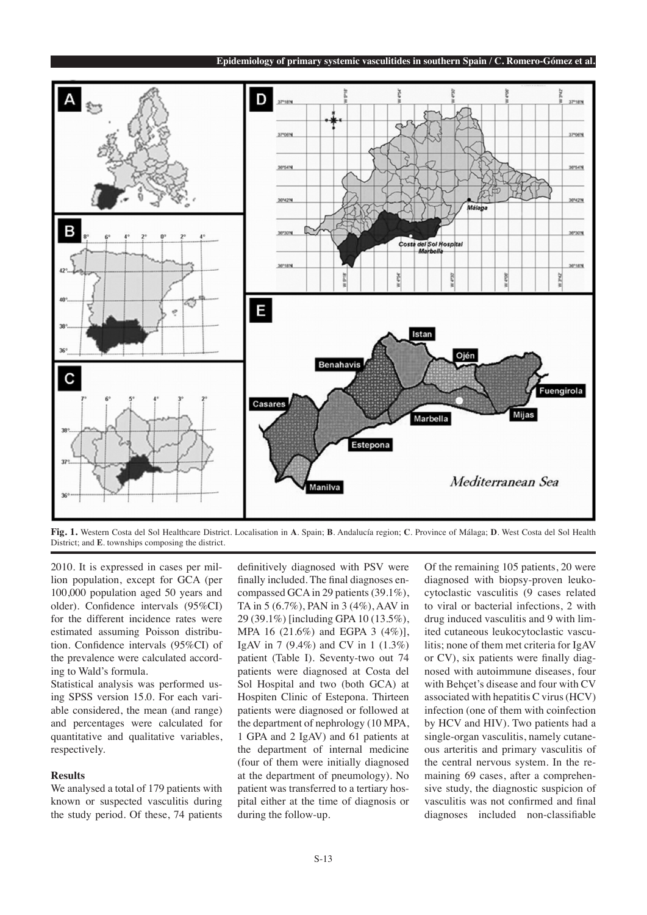

**Fig. 1.** Western Costa del Sol Healthcare District. Localisation in **A**. Spain; **B**. Andalucía region; **C**. Province of Málaga; **D**. West Costa del Sol Health District; and **E**. townships composing the district.

2010. It is expressed in cases per million population, except for GCA (per 100,000 population aged 50 years and older). Confidence intervals (95%CI) for the different incidence rates were estimated assuming Poisson distribution. Confidence intervals (95%CI) of the prevalence were calculated according to Wald's formula.

Statistical analysis was performed using SPSS version 15.0. For each variable considered, the mean (and range) and percentages were calculated for quantitative and qualitative variables, respectively.

### **Results**

We analysed a total of 179 patients with known or suspected vasculitis during the study period. Of these, 74 patients

definitively diagnosed with PSV were finally included. The final diagnoses encompassed GCA in 29 patients (39.1%), TA in 5 (6.7%), PAN in 3 (4%), AAV in 29 (39.1%) [including GPA 10 (13.5%), MPA 16 (21.6%) and EGPA 3 (4%)], IgAV in 7 (9.4%) and CV in 1 (1.3%) patient (Table I). Seventy-two out 74 patients were diagnosed at Costa del Sol Hospital and two (both GCA) at Hospiten Clinic of Estepona. Thirteen patients were diagnosed or followed at the department of nephrology (10 MPA, 1 GPA and 2 IgAV) and 61 patients at the department of internal medicine (four of them were initially diagnosed at the department of pneumology). No patient was transferred to a tertiary hospital either at the time of diagnosis or during the follow-up.

Of the remaining 105 patients, 20 were diagnosed with biopsy-proven leukocytoclastic vasculitis (9 cases related to viral or bacterial infections, 2 with drug induced vasculitis and 9 with limited cutaneous leukocytoclastic vasculitis; none of them met criteria for IgAV or CV), six patients were finally diagnosed with autoimmune diseases, four with Behçet's disease and four with CV associated with hepatitis C virus (HCV) infection (one of them with coinfection by HCV and HIV). Two patients had a single-organ vasculitis, namely cutaneous arteritis and primary vasculitis of the central nervous system. In the remaining 69 cases, after a comprehensive study, the diagnostic suspicion of vasculitis was not confirmed and final diagnoses included non-classifiable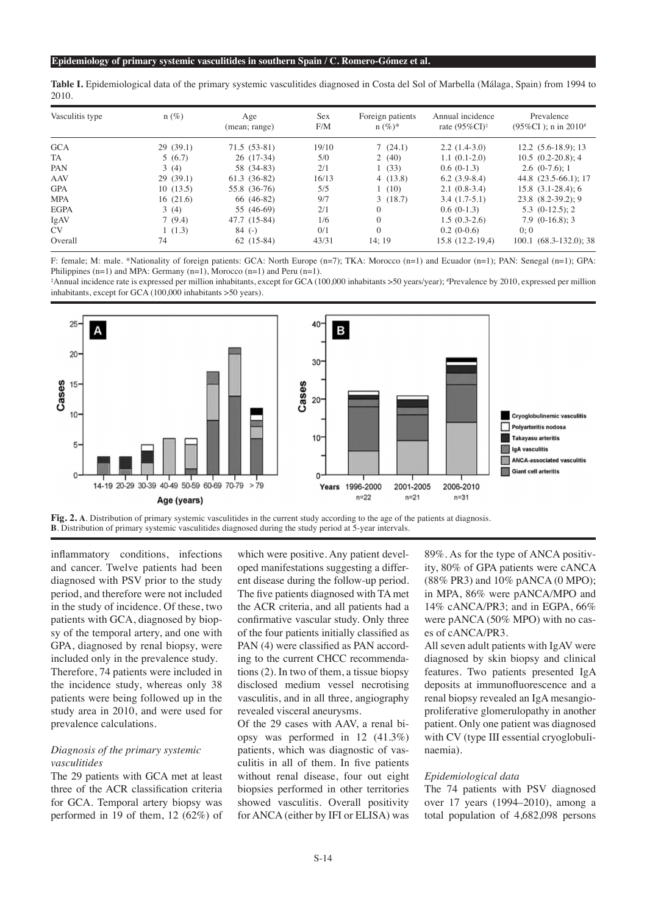|      | Table I. Epidemiological data of the primary systemic vasculitides diagnosed in Costa del Sol of Marbella (Málaga, Spain) from 1994 to |  |  |  |  |
|------|----------------------------------------------------------------------------------------------------------------------------------------|--|--|--|--|
| 2010 |                                                                                                                                        |  |  |  |  |

| Vasculitis type | $n(\%)$  | Age<br>(mean; range) | Sex<br>F/M | Foreign patients<br>$n (\%)^*$ | Annual incidence<br>rate $(95\%CI)^{\ddagger}$ | Prevalence<br>$(95\%CI)$ ; n in 2010 <sup>#</sup> |
|-----------------|----------|----------------------|------------|--------------------------------|------------------------------------------------|---------------------------------------------------|
| <b>GCA</b>      | 29(39.1) | $71.5(53-81)$        | 19/10      | 7(24.1)                        | $2.2(1.4-3.0)$                                 | $12.2(5.6-18.9); 13$                              |
| TA              | 5(6.7)   | $26(17-34)$          | 5/0        | 2(40)                          | $1.1(0.1-2.0)$                                 | $10.5(0.2-20.8); 4$                               |
| PAN             | 3(4)     | 58 (34-83)           | 2/1        | 1(33)                          | $0.6(0-1.3)$                                   | $2.6(0-7.6):1$                                    |
| <b>AAV</b>      | 29(39.1) | $61.3(36-82)$        | 16/13      | 4(13.8)                        | $6.2(3.9-8.4)$                                 | 44.8 (23.5-66.1); 17                              |
| <b>GPA</b>      | 10(13.5) | 55.8 (36-76)         | 5/5        | 1(10)                          | $2.1(0.8-3.4)$                                 | $15.8$ $(3.1-28.4)$ ; 6                           |
| <b>MPA</b>      | 16(21.6) | 66 (46-82)           | 9/7        | 3(18.7)                        | $3.4(1.7-5.1)$                                 | $23.8$ $(8.2-39.2)$ ; 9                           |
| <b>EGPA</b>     | 3(4)     | 55 (46-69)           | 2/1        |                                | $0.6(0-1.3)$                                   | $5.3$ $(0-12.5)$ ; 2                              |
| IgAV            | 7(9.4)   | 47.7 (15-84)         | 1/6        |                                | $1.5(0.3-2.6)$                                 | $7.9(0-16.8):$ 3                                  |
| CV              | 1(1.3)   | $84$ (-)             | 0/1        | $\Omega$                       | $0.2(0-0.6)$                                   | 0:0                                               |
| Overall         | 74       | $62(15-84)$          | 43/31      | 14:19                          | 15.8 (12.2-19,4)                               | $100.1 (68.3 - 132.0); 38$                        |

F: female; M: male. \*Nationality of foreign patients: GCA: North Europe (n=7); TKA: Morocco (n=1) and Ecuador (n=1); PAN: Senegal (n=1); GPA: Philippines  $(n=1)$  and MPA: Germany  $(n=1)$ , Morocco  $(n=1)$  and Peru  $(n=1)$ .

‡ Annual incidence rate is expressed per million inhabitants, except for GCA (100,000 inhabitants >50 years/year); # Prevalence by 2010, expressed per million inhabitants, except for GCA (100,000 inhabitants >50 years).





inflammatory conditions, infections and cancer. Twelve patients had been diagnosed with PSV prior to the study period, and therefore were not included in the study of incidence. Of these, two patients with GCA, diagnosed by biopsy of the temporal artery, and one with GPA, diagnosed by renal biopsy, were included only in the prevalence study. Therefore, 74 patients were included in the incidence study, whereas only 38 patients were being followed up in the study area in 2010, and were used for prevalence calculations.

# *Diagnosis of the primary systemic vasculitides*

The 29 patients with GCA met at least three of the ACR classification criteria for GCA. Temporal artery biopsy was performed in 19 of them, 12 (62%) of

which were positive. Any patient developed manifestations suggesting a different disease during the follow-up period. The five patients diagnosed with TA met the ACR criteria, and all patients had a confirmative vascular study. Only three of the four patients initially classified as PAN (4) were classified as PAN according to the current CHCC recommendations (2). In two of them, a tissue biopsy disclosed medium vessel necrotising vasculitis, and in all three, angiography revealed visceral aneurysms.

Of the 29 cases with AAV, a renal biopsy was performed in 12 (41.3%) patients, which was diagnostic of vasculitis in all of them. In five patients without renal disease, four out eight biopsies performed in other territories showed vasculitis. Overall positivity for ANCA (either by IFI or ELISA) was 89%. As for the type of ANCA positivity, 80% of GPA patients were cANCA (88% PR3) and 10% pANCA (0 MPO); in MPA, 86% were pANCA/MPO and 14% cANCA/PR3; and in EGPA, 66% were pANCA (50% MPO) with no cases of cANCA/PR3.

All seven adult patients with IgAV were diagnosed by skin biopsy and clinical features. Two patients presented IgA deposits at immunofluorescence and a renal biopsy revealed an IgA mesangioproliferative glomerulopathy in another patient. Only one patient was diagnosed with CV (type III essential cryoglobulinaemia).

#### *Epidemiological data*

The 74 patients with PSV diagnosed over 17 years (1994–2010), among a total population of 4,682,098 persons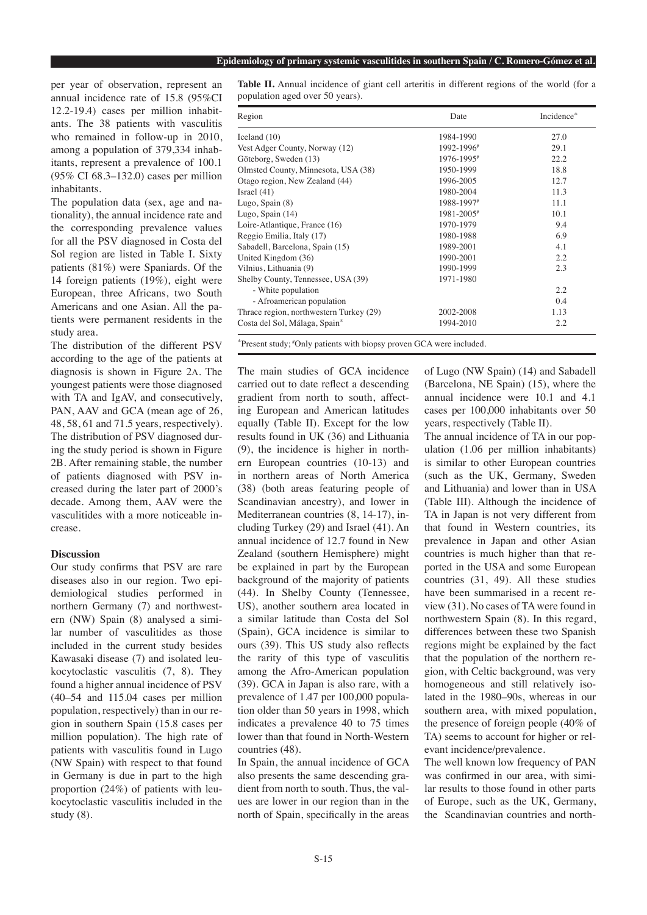per year of observation, represent an annual incidence rate of 15.8 (95%CI 12.2-19.4) cases per million inhabitants. The 38 patients with vasculitis who remained in follow-up in 2010, among a population of 379,334 inhabitants, represent a prevalence of 100.1 (95% CI 68.3–132.0) cases per million inhabitants.

The population data (sex, age and nationality), the annual incidence rate and the corresponding prevalence values for all the PSV diagnosed in Costa del Sol region are listed in Table I. Sixty patients (81%) were Spaniards. Of the 14 foreign patients (19%), eight were European, three Africans, two South Americans and one Asian. All the patients were permanent residents in the study area.

The distribution of the different PSV according to the age of the patients at diagnosis is shown in Figure 2a. The youngest patients were those diagnosed with TA and IgAV, and consecutively, PAN, AAV and GCA (mean age of 26, 48, 58, 61 and 71.5 years, respectively). The distribution of PSV diagnosed during the study period is shown in Figure 2B. After remaining stable, the number of patients diagnosed with PSV increased during the later part of 2000's decade. Among them, AAV were the vasculitides with a more noticeable increase.

#### **Discussion**

Our study confirms that PSV are rare diseases also in our region. Two epidemiological studies performed in northern Germany (7) and northwestern (NW) Spain (8) analysed a similar number of vasculitides as those included in the current study besides Kawasaki disease (7) and isolated leukocytoclastic vasculitis (7, 8). They found a higher annual incidence of PSV (40–54 and 115.04 cases per million population, respectively) than in our region in southern Spain (15.8 cases per million population). The high rate of patients with vasculitis found in Lugo (NW Spain) with respect to that found in Germany is due in part to the high proportion (24%) of patients with leukocytoclastic vasculitis included in the study (8).

**Table II.** Annual incidence of giant cell arteritis in different regions of the world (for a population aged over 50 years).

| Region                                    | Date       | Incidence* |
|-------------------------------------------|------------|------------|
| Iceland (10)                              | 1984-1990  | 27.0       |
| Vest Adger County, Norway (12)            | 1992-1996# | 29.1       |
| Göteborg, Sweden (13)                     | 1976-1995# | 22.2       |
| Olmsted County, Minnesota, USA (38)       | 1950-1999  | 18.8       |
| Otago region, New Zealand (44)            | 1996-2005  | 12.7       |
| Israel (41)                               | 1980-2004  | 11.3       |
| Lugo, Spain (8)                           | 1988-1997# | 11.1       |
| Lugo, Spain (14)                          | 1981-2005# | 10.1       |
| Loire-Atlantique, France (16)             | 1970-1979  | 9.4        |
| Reggio Emilia, Italy (17)                 | 1980-1988  | 6.9        |
| Sabadell, Barcelona, Spain (15)           | 1989-2001  | 4.1        |
| United Kingdom (36)                       | 1990-2001  | 2.2        |
| Vilnius, Lithuania (9)                    | 1990-1999  | 2.3        |
| Shelby County, Tennessee, USA (39)        | 1971-1980  |            |
| - White population                        |            | 2.2        |
| - Afroamerican population                 |            | 0.4        |
| Thrace region, northwestern Turkey (29)   | 2002-2008  | 1.13       |
| Costa del Sol, Málaga, Spain <sup>*</sup> | 1994-2010  | 2.2        |

\*Present study; #Only patients with biopsy proven GCA were included.

The main studies of GCA incidence carried out to date reflect a descending gradient from north to south, affecting European and American latitudes equally (Table II). Except for the low results found in UK (36) and Lithuania (9), the incidence is higher in northern European countries (10-13) and in northern areas of North America (38) (both areas featuring people of Scandinavian ancestry), and lower in Mediterranean countries (8, 14-17), including Turkey (29) and Israel (41). An annual incidence of 12.7 found in New Zealand (southern Hemisphere) might be explained in part by the European background of the majority of patients (44). In Shelby County (Tennessee, US), another southern area located in a similar latitude than Costa del Sol (Spain), GCA incidence is similar to ours (39). This US study also reflects the rarity of this type of vasculitis among the Afro-American population (39). GCA in Japan is also rare, with a prevalence of 1.47 per 100,000 population older than 50 years in 1998, which indicates a prevalence 40 to 75 times lower than that found in North-Western countries (48).

In Spain, the annual incidence of GCA also presents the same descending gradient from north to south. Thus, the values are lower in our region than in the north of Spain, specifically in the areas

of Lugo (NW Spain) (14) and Sabadell (Barcelona, NE Spain) (15), where the annual incidence were 10.1 and 4.1 cases per 100,000 inhabitants over 50 years, respectively (Table II).

The annual incidence of TA in our population (1.06 per million inhabitants) is similar to other European countries (such as the UK, Germany, Sweden and Lithuania) and lower than in USA (Table III). Although the incidence of TA in Japan is not very different from that found in Western countries, its prevalence in Japan and other Asian countries is much higher than that reported in the USA and some European countries (31, 49). All these studies have been summarised in a recent review (31). No cases of TA were found in northwestern Spain (8). In this regard, differences between these two Spanish regions might be explained by the fact that the population of the northern region, with Celtic background, was very homogeneous and still relatively isolated in the 1980–90s, whereas in our southern area, with mixed population, the presence of foreign people (40% of TA) seems to account for higher or relevant incidence/prevalence.

The well known low frequency of PAN was confirmed in our area, with similar results to those found in other parts of Europe, such as the UK, Germany, the Scandinavian countries and north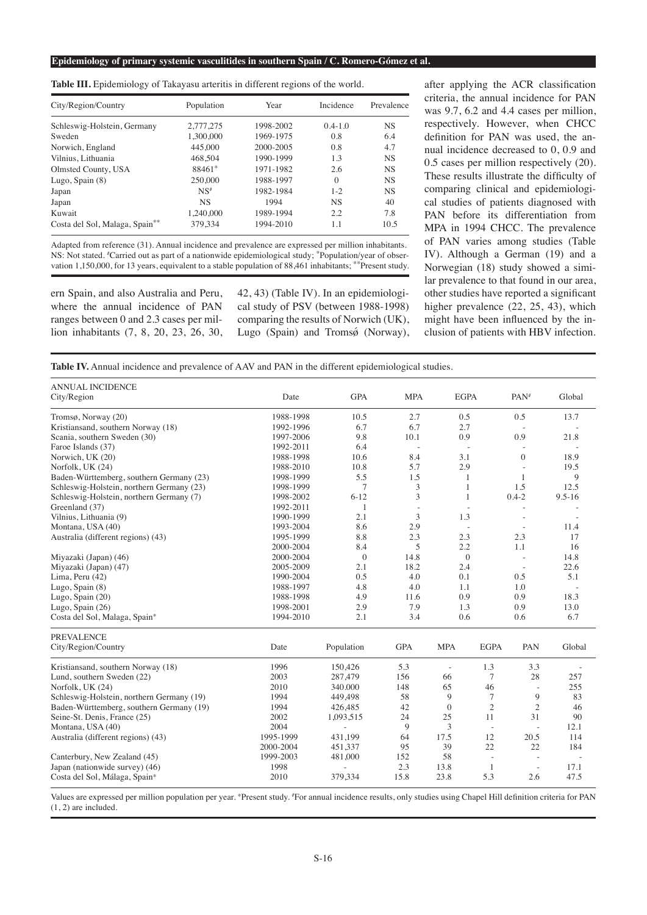**Epidemiology of primary systemic vasculitides in southern Spain / C. Romero-Gómez et al.**

**Table III.** Epidemiology of Takayasu arteritis in different regions of the world.

| City/Region/Country            | Population      | Year      | Incidence   | Prevalence |  |
|--------------------------------|-----------------|-----------|-------------|------------|--|
| Schleswig-Holstein, Germany    | 2,777,275       | 1998-2002 | $0.4 - 1.0$ | <b>NS</b>  |  |
| Sweden                         | 1.300.000       | 1969-1975 | 0.8         | 6.4        |  |
| Norwich, England               | 445,000         | 2000-2005 | 0.8         | 4.7        |  |
| Vilnius, Lithuania             | 468,504         | 1990-1999 | 1.3         | <b>NS</b>  |  |
| Olmsted County, USA            | 88461*          | 1971-1982 | 2.6         | <b>NS</b>  |  |
| Lugo, Spain $(8)$              | 250,000         | 1988-1997 | $\Omega$    | <b>NS</b>  |  |
| Japan                          | NS <sup>#</sup> | 1982-1984 | $1 - 2$     | <b>NS</b>  |  |
| Japan                          | <b>NS</b>       | 1994      | <b>NS</b>   | 40         |  |
| Kuwait                         | 1.240.000       | 1989-1994 | 2.2         | 7.8        |  |
| Costa del Sol, Malaga, Spain** | 379,334         | 1994-2010 | 1.1         | 10.5       |  |

Adapted from reference (31). Annual incidence and prevalence are expressed per million inhabitants. NS: Not stated. # Carried out as part of a nationwide epidemiological study; \*Population/year of observation 1,150,000, for 13 years, equivalent to a stable population of 88,461 inhabitants; \*\*Present study.

ern Spain, and also Australia and Peru, where the annual incidence of PAN ranges between 0 and 2.3 cases per million inhabitants (7, 8, 20, 23, 26, 30, 42, 43) (Table IV). In an epidemiological study of PSV (between 1988-1998) comparing the results of Norwich (UK), Lugo (Spain) and Tromsø (Norway),

after applying the ACR classification criteria, the annual incidence for PAN was 9.7, 6.2 and 4.4 cases per million, respectively. However, when CHCC definition for PAN was used, the annual incidence decreased to 0, 0.9 and 0.5 cases per million respectively (20). These results illustrate the difficulty of comparing clinical and epidemiological studies of patients diagnosed with PAN before its differentiation from MPA in 1994 CHCC. The prevalence of PAN varies among studies (Table IV). Although a German (19) and a Norwegian (18) study showed a similar prevalence to that found in our area, other studies have reported a significant higher prevalence (22, 25, 43), which might have been influenced by the inclusion of patients with HBV infection.

| <b>ANNUAL INCIDENCE</b>                   |           |                          |            |                          |                |                    |            |
|-------------------------------------------|-----------|--------------------------|------------|--------------------------|----------------|--------------------|------------|
| City/Region                               | Date      | <b>GPA</b>               | <b>MPA</b> | <b>EGPA</b>              |                | $PAN$ <sup>#</sup> | Global     |
| Tromsø, Norway (20)                       | 1988-1998 | 10.5                     | 2.7        | 0.5                      |                | 0.5                | 13.7       |
| Kristiansand, southern Norway (18)        | 1992-1996 | 6.7                      | 6.7        | 2.7                      |                |                    |            |
| Scania, southern Sweden (30)              | 1997-2006 | 9.8                      | 10.1       | 0.9                      |                | 0.9                | 21.8       |
| Faroe Islands (37)                        | 1992-2011 | 6.4                      | ÷,         |                          |                |                    |            |
| Norwich, UK (20)                          | 1988-1998 | 10.6                     | 8.4        | 3.1                      |                | $\theta$           | 18.9       |
| Norfolk, UK (24)                          | 1988-2010 | 10.8                     | 5.7        | 2.9                      |                | $\sim$             | 19.5       |
| Baden-Württemberg, southern Germany (23)  | 1998-1999 | 5.5                      | 1.5        | 1                        |                | 1                  | 9          |
| Schleswig-Holstein, northern Germany (23) | 1998-1999 | 7                        | 3          | 1                        |                | 1.5                | 12.5       |
| Schleswig-Holstein, northern Germany (7)  | 1998-2002 | $6 - 12$                 | 3          | 1                        |                | $0.4 - 2$          | $9.5 - 16$ |
| Greenland (37)                            | 1992-2011 | 1                        | ÷,         |                          |                | L,                 |            |
| Vilnius, Lithuania (9)                    | 1990-1999 | 2.1                      | 3          | 1.3                      |                | $\overline{a}$     |            |
| Montana, USA (40)                         | 1993-2004 | 8.6                      | 2.9        |                          |                | $\sim$             | 11.4       |
| Australia (different regions) (43)        | 1995-1999 | 8.8                      | 2.3        | 2.3                      |                | 2.3                | 17         |
|                                           | 2000-2004 | 8.4                      | 5          | 2.2                      |                | 1.1                | 16         |
| Miyazaki (Japan) (46)                     | 2000-2004 | $\boldsymbol{0}$         | 14.8       | $\mathbf{0}$             |                | $\sim$             | 14.8       |
| Miyazaki (Japan) (47)                     | 2005-2009 | 2.1                      | 18.2       | 2.4                      |                |                    | 22.6       |
| Lima, Peru (42)                           | 1990-2004 | 0.5                      | 4.0        | 0.1                      |                | 0.5                | 5.1        |
| Lugo, Spain (8)                           | 1988-1997 | 4.8                      | 4.0        | 1.1                      |                | 1.0                |            |
| Lugo, Spain (20)                          | 1988-1998 | 4.9                      | 11.6       | 0.9                      |                | 0.9                | 18.3       |
| Lugo, Spain (26)                          | 1998-2001 | 2.9                      | 7.9        | 1.3                      |                | 0.9                | 13.0       |
| Costa del Sol, Malaga, Spain*             | 1994-2010 | 2.1                      | 3.4        | 0.6                      |                | 0.6                | 6.7        |
| <b>PREVALENCE</b>                         |           |                          |            |                          |                |                    |            |
| City/Region/Country                       | Date      | Population               | <b>GPA</b> | <b>MPA</b>               | <b>EGPA</b>    | PAN                | Global     |
| Kristiansand, southern Norway (18)        | 1996      | 150,426                  | 5.3        | $\overline{\phantom{a}}$ | 1.3            | 3.3                |            |
| Lund, southern Sweden (22)                | 2003      | 287,479                  | 156        | 66                       | 7              | 28                 | 257        |
| Norfolk, UK (24)                          | 2010      | 340.000                  | 148        | 65                       | 46             |                    | 255        |
| Schleswig-Holstein, northern Germany (19) | 1994      | 449,498                  | 58         | 9                        | $\tau$         | 9                  | 83         |
| Baden-Württemberg, southern Germany (19)  | 1994      | 426,485                  | 42         | $\Omega$                 | $\overline{2}$ | $\mathfrak{2}$     | 46         |
| Seine-St. Denis, France (25)              | 2002      | 1,093,515                | 24         | 25                       | 11             | 31                 | 90         |
| Montana, USA (40)                         | 2004      | $\overline{\phantom{a}}$ | 9          | 3                        | L.             | ÷,                 | 12.1       |
| Australia (different regions) (43)        | 1995-1999 | 431.199                  | 64         | 17.5                     | 12             | 20.5               | 114        |
|                                           | 2000-2004 | 451,337                  | 95         | 39                       | 22             | 22                 | 184        |
| Canterbury, New Zealand (45)              | 1999-2003 | 481,000                  | 152        | 58                       | $\bar{z}$      | ÷,                 | $\sim$     |
| Japan (nationwide survey) (46)            | 1998      |                          | 2.3        | 13.8                     | 1              | $\sim$             | 17.1       |
| Costa del Sol, Málaga, Spain*             | 2010      | 379,334                  | 15.8       | 23.8                     | 5.3            | 2.6                | 47.5       |

Values are expressed per million population per year. \*Present study. #For annual incidence results, only studies using Chapel Hill definition criteria for PAN (1, 2) are included.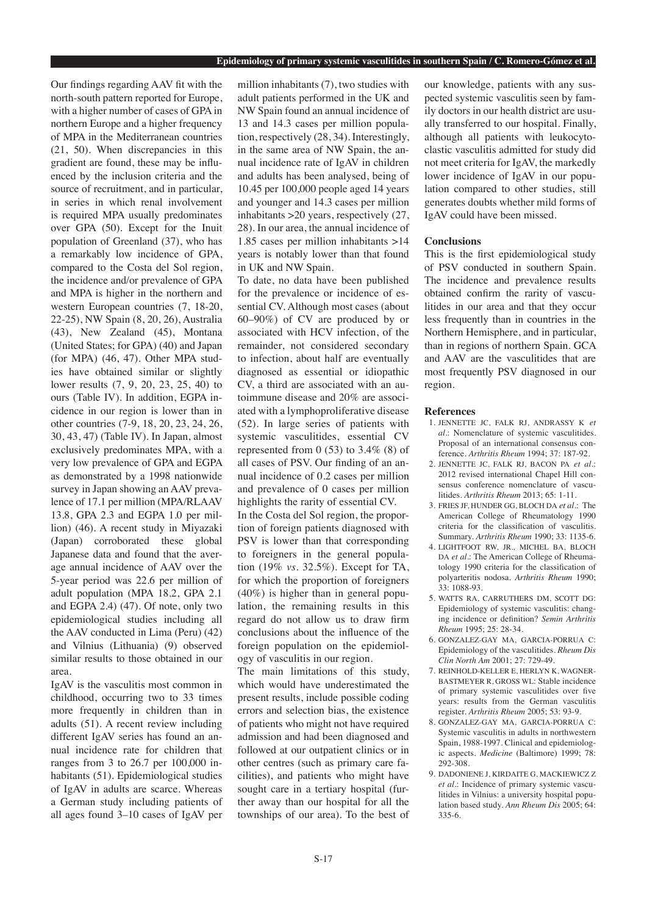Our findings regarding AAV fit with the north-south pattern reported for Europe, with a higher number of cases of GPA in northern Europe and a higher frequency of MPA in the Mediterranean countries (21, 50). When discrepancies in this gradient are found, these may be influenced by the inclusion criteria and the source of recruitment, and in particular, in series in which renal involvement is required MPA usually predominates over GPA (50). Except for the Inuit population of Greenland (37), who has a remarkably low incidence of GPA, compared to the Costa del Sol region, the incidence and/or prevalence of GPA and MPA is higher in the northern and western European countries (7, 18-20, 22-25), NW Spain (8, 20, 26), Australia (43), New Zealand (45), Montana (United States; for GPA) (40) and Japan (for MPA) (46, 47). Other MPA studies have obtained similar or slightly lower results (7, 9, 20, 23, 25, 40) to ours (Table IV). In addition, EGPA incidence in our region is lower than in other countries (7-9, 18, 20, 23, 24, 26, 30, 43, 47) (Table IV). In Japan, almost exclusively predominates MPA, with a very low prevalence of GPA and EGPA as demonstrated by a 1998 nationwide survey in Japan showing an AAV prevalence of 17.1 per million (MPA/RLAAV 13.8, GPA 2.3 and EGPA 1.0 per million) (46). A recent study in Miyazaki (Japan) corroborated these global Japanese data and found that the average annual incidence of AAV over the 5-year period was 22.6 per million of adult population (MPA 18.2, GPA 2.1 and EGPA 2.4) (47). Of note, only two epidemiological studies including all the AAV conducted in Lima (Peru) (42) and Vilnius (Lithuania) (9) observed similar results to those obtained in our area.

IgAV is the vasculitis most common in childhood, occurring two to 33 times more frequently in children than in adults (51). A recent review including different IgAV series has found an annual incidence rate for children that ranges from 3 to 26.7 per 100,000 inhabitants (51). Epidemiological studies of IgAV in adults are scarce. Whereas a German study including patients of all ages found 3–10 cases of IgAV per

million inhabitants (7), two studies with adult patients performed in the UK and NW Spain found an annual incidence of 13 and 14.3 cases per million population, respectively (28, 34). Interestingly, in the same area of NW Spain, the annual incidence rate of IgAV in children and adults has been analysed, being of 10.45 per 100,000 people aged 14 years and younger and 14.3 cases per million inhabitants >20 years, respectively (27, 28). In our area, the annual incidence of 1.85 cases per million inhabitants >14 years is notably lower than that found in UK and NW Spain.

To date, no data have been published for the prevalence or incidence of essential CV. Although most cases (about 60–90%) of CV are produced by or associated with HCV infection, of the remainder, not considered secondary to infection, about half are eventually diagnosed as essential or idiopathic CV, a third are associated with an autoimmune disease and 20% are associated with a lymphoproliferative disease (52). In large series of patients with systemic vasculitides, essential CV represented from  $0$  (53) to 3.4% (8) of all cases of PSV. Our finding of an annual incidence of 0.2 cases per million and prevalence of 0 cases per million highlights the rarity of essential CV. In the Costa del Sol region, the proportion of foreign patients diagnosed with PSV is lower than that corresponding to foreigners in the general population (19% *vs.* 32.5%). Except for TA, for which the proportion of foreigners (40%) is higher than in general population, the remaining results in this regard do not allow us to draw firm conclusions about the influence of the foreign population on the epidemiology of vasculitis in our region.

The main limitations of this study, which would have underestimated the present results, include possible coding errors and selection bias, the existence of patients who might not have required admission and had been diagnosed and followed at our outpatient clinics or in other centres (such as primary care facilities), and patients who might have sought care in a tertiary hospital (further away than our hospital for all the townships of our area). To the best of our knowledge, patients with any suspected systemic vasculitis seen by family doctors in our health district are usually transferred to our hospital. Finally, although all patients with leukocytoclastic vasculitis admitted for study did not meet criteria for IgAV, the markedly lower incidence of IgAV in our population compared to other studies, still generates doubts whether mild forms of IgAV could have been missed.

#### **Conclusions**

This is the first epidemiological study of PSV conducted in southern Spain. The incidence and prevalence results obtained confirm the rarity of vasculitides in our area and that they occur less frequently than in countries in the Northern Hemisphere, and in particular, than in regions of northern Spain. GCA and AAV are the vasculitides that are most frequently PSV diagnosed in our region.

#### **References**

- 1. JENNETTE JC, FALK RJ, ANDRASSY K *et al.*: Nomenclature of systemic vasculitides. Proposal of an international consensus conference. *Arthritis Rheum* 1994; 37: 187-92.
- 2. JENNETTE JC, FALK RJ, BACON PA *et al.*: 2012 revised international Chapel Hill consensus conference nomenclature of vasculitides. *Arthritis Rheum* 2013; 65: 1-11.
- 3. FRIES JF, HUNDER GG, BLOCH DA *et al.*: The American College of Rheumatology 1990 criteria for the classification of vasculitis. Summary. *Arthritis Rheum* 1990; 33: 1135-6.
- 4. LIGHTFOOT RW, JR., MICHEL BA, BLOCH DA et al.: The American College of Rheumatology 1990 criteria for the classification of polyarteritis nodosa. *Arthritis Rheum* 1990; 33: 1088-93.
- 5. WATTS RA, CARRUTHERS DM, SCOTT DG: Epidemiology of systemic vasculitis: changing incidence or definition? *Semin Arthritis Rheum* 1995; 25: 28-34.
- 6. GONZALEZ-GAY MA, GARCIA-PORRUA C: Epidemiology of the vasculitides. *Rheum Dis Clin North Am* 2001; 27: 729-49.
- 7. REINHOLD-KELLER E, HERLYN K, WAGNER-BASTMEYER R, GROSS WL: Stable incidence of primary systemic vasculitides over five years: results from the German vasculitis register. *Arthritis Rheum* 2005; 53: 93-9.
- 8. GONZALEZ-GAY MA, GARCIA-PORRUA C: Systemic vasculitis in adults in northwestern Spain, 1988-1997. Clinical and epidemiologic aspects. *Medicine* (Baltimore) 1999; 78: 292-308.
- 9. DADONIENE J, KIRDAITE G, MACKIEWICZ Z *et al.*: Incidence of primary systemic vasculitides in Vilnius: a university hospital population based study. *Ann Rheum Dis* 2005; 64: 335-6.